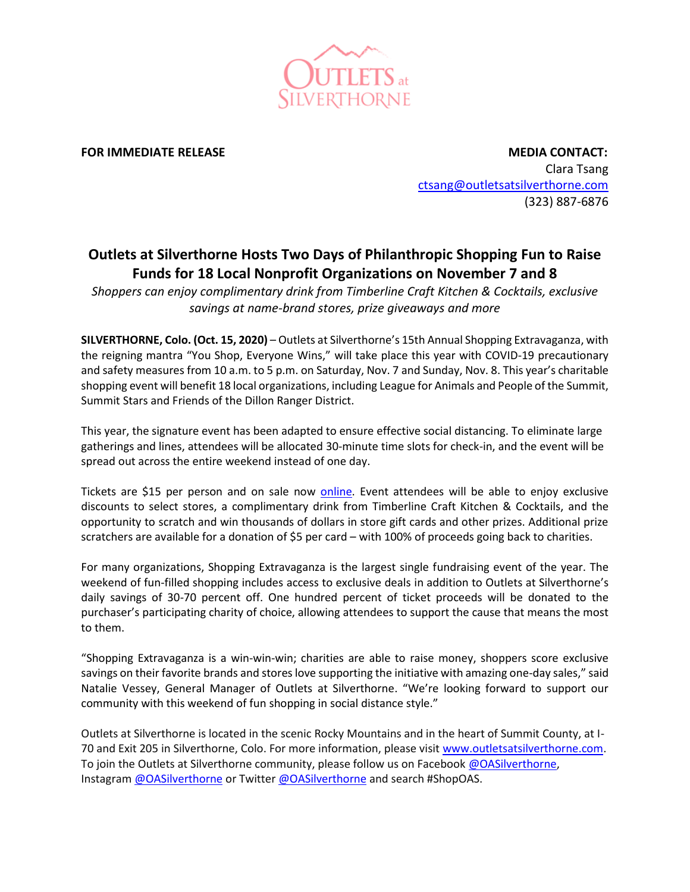

**FOR IMMEDIATE RELEASE MEDIA CONTACT:** Clara Tsang [ctsang@outletsatsilverthorne.com](mailto:ctsang@outletsatsilverthorne.com) (323) 887-6876

## **Outlets at Silverthorne Hosts Two Days of Philanthropic Shopping Fun to Raise Funds for 18 Local Nonprofit Organizations on November 7 and 8**

*Shoppers can enjoy complimentary drink from Timberline Craft Kitchen & Cocktails, exclusive savings at name-brand stores, prize giveaways and more*

**SILVERTHORNE, Colo. (Oct. 15, 2020)** – Outlets at Silverthorne's 15th Annual Shopping Extravaganza, with the reigning mantra "You Shop, Everyone Wins," will take place this year with COVID-19 precautionary and safety measures from 10 a.m. to 5 p.m. on Saturday, Nov. 7 and Sunday, Nov. 8. This year's charitable shopping event will benefit 18 local organizations, including League for Animals and People of the Summit, Summit Stars and Friends of the Dillon Ranger District.

This year, the signature event has been adapted to ensure effective social distancing. To eliminate large gatherings and lines, attendees will be allocated 30-minute time slots for check-in, and the event will be spread out across the entire weekend instead of one day.

Tickets are \$15 per person and on sale now **online**. Event attendees will be able to enjoy exclusive discounts to select stores, a complimentary drink from Timberline Craft Kitchen & Cocktails, and the opportunity to scratch and win thousands of dollars in store gift cards and other prizes. Additional prize scratchers are available for a donation of \$5 per card – with 100% of proceeds going back to charities.

For many organizations, Shopping Extravaganza is the largest single fundraising event of the year. The weekend of fun-filled shopping includes access to exclusive deals in addition to Outlets at Silverthorne's daily savings of 30-70 percent off. One hundred percent of ticket proceeds will be donated to the purchaser's participating charity of choice, allowing attendees to support the cause that means the most to them.

"Shopping Extravaganza is a win-win-win; charities are able to raise money, shoppers score exclusive savings on their favorite brands and stores love supporting the initiative with amazing one-day sales," said Natalie Vessey, General Manager of Outlets at Silverthorne. "We're looking forward to support our community with this weekend of fun shopping in social distance style."

Outlets at Silverthorne is located in the scenic Rocky Mountains and in the heart of Summit County, at I-70 and Exit 205 in Silverthorne, Colo. For more information, please visi[t www.outletsatsilverthorne.com.](http://www.outletsatsilverthorne.com/) To join the Outlets at Silverthorne community, please follow us on Facebook [@OASilverthorne,](https://www.facebook.com/OASilverthorne/https:/www.facebook.com/OutletsAtSilverthorne/) Instagram [@OASilverthorne](https://twitter.com/OASilverthorne) or Twitter @OASilverthorne and search #ShopOAS.